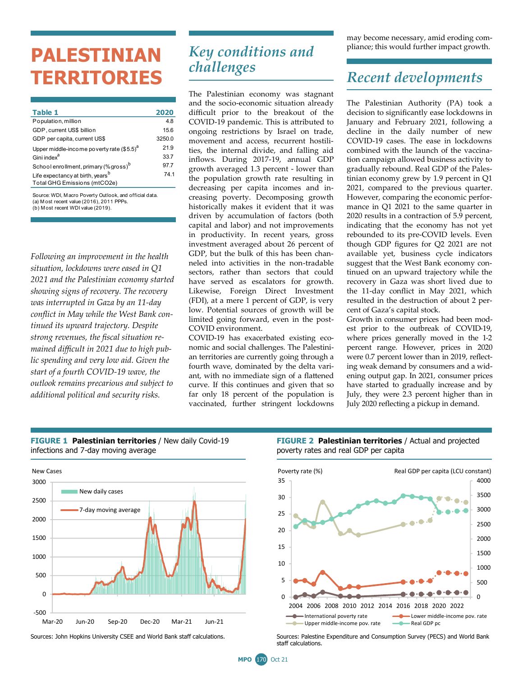# **PALESTINIAN TERRITORIES**

| Table 1                                           | 2020   |
|---------------------------------------------------|--------|
| Population, million                               | 4.8    |
| GDP, current US\$ billion                         | 15.6   |
| GDP per capita, current US\$                      | 3250.0 |
| Upper middle-income poverty rate $($5.5)^a$       | 21.9   |
| Gini index <sup>a</sup>                           | 33.7   |
| School enrollment, primary (% gross) <sup>b</sup> | 97.7   |
| Life expectancy at birth, years <sup>b</sup>      | 74.1   |
| Total GHG Emissions (mtCO2e)                      |        |
|                                                   |        |

(b) M ost recent WDI value (2019). Source: WDI, M acro Poverty Outlook, and official data.  $(a)$  M ost recent value  $(2016)$ ,  $2011$  PPPs.

*Following an improvement in the health situation, lockdowns were eased in Q1 2021 and the Palestinian economy started showing signs of recovery. The recovery was interrupted in Gaza by an 11-day conflict in May while the West Bank continued its upward trajectory. Despite strong revenues, the fiscal situation remained difficult in 2021 due to high public spending and very low aid. Given the start of a fourth COVID-19 wave, the outlook remains precarious and subject to additional political and security risks.*

### *Key conditions and challenges*

The Palestinian economy was stagnant and the socio-economic situation already difficult prior to the breakout of the COVID-19 pandemic. This is attributed to ongoing restrictions by Israel on trade, movement and access, recurrent hostilities, the internal divide, and falling aid inflows. During 2017-19, annual GDP growth averaged 1.3 percent - lower than the population growth rate resulting in decreasing per capita incomes and increasing poverty. Decomposing growth historically makes it evident that it was driven by accumulation of factors (both capital and labor) and not improvements in productivity. In recent years, gross investment averaged about 26 percent of GDP, but the bulk of this has been channeled into activities in the non-tradable sectors, rather than sectors that could have served as escalators for growth. Likewise, Foreign Direct Investment (FDI), at a mere 1 percent of GDP, is very low. Potential sources of growth will be limited going forward, even in the post-COVID environment.

COVID-19 has exacerbated existing economic and social challenges. The Palestinian territories are currently going through a fourth wave, dominated by the delta variant, with no immediate sign of a flattened curve. If this continues and given that so far only 18 percent of the population is vaccinated, further stringent lockdowns may become necessary, amid eroding compliance; this would further impact growth.

### *Recent developments*

The Palestinian Authority (PA) took a decision to significantly ease lockdowns in January and February 2021, following a decline in the daily number of new COVID-19 cases. The ease in lockdowns combined with the launch of the vaccination campaign allowed business activity to gradually rebound. Real GDP of the Palestinian economy grew by 1.9 percent in Q1 2021, compared to the previous quarter. However, comparing the economic performance in Q1 2021 to the same quarter in 2020 results in a contraction of 5.9 percent, indicating that the economy has not yet rebounded to its pre-COVID levels. Even though GDP figures for Q2 2021 are not available yet, business cycle indicators suggest that the West Bank economy continued on an upward trajectory while the recovery in Gaza was short lived due to the 11-day conflict in May 2021, which resulted in the destruction of about 2 percent of Gaza's capital stock.

Growth in consumer prices had been modest prior to the outbreak of COVID-19, where prices generally moved in the 1-2 percent range. However, prices in 2020 were 0.7 percent lower than in 2019, reflecting weak demand by consumers and a widening output gap. In 2021, consumer prices have started to gradually increase and by July, they were 2.3 percent higher than in July 2020 reflecting a pickup in demand.



#### **FIGURE 1 Palestinian territories** / New daily Covid-19 infections and 7-day moving average

#### **FIGURE 2 Palestinian territories / Actual and projected** poverty rates and real GDP per capita



Sources: John Hopkins University CSEE and World Bank staff calculations. Sources: Palestine Expenditure and Consumption Survey (PECS) and World Bank staff calculations.